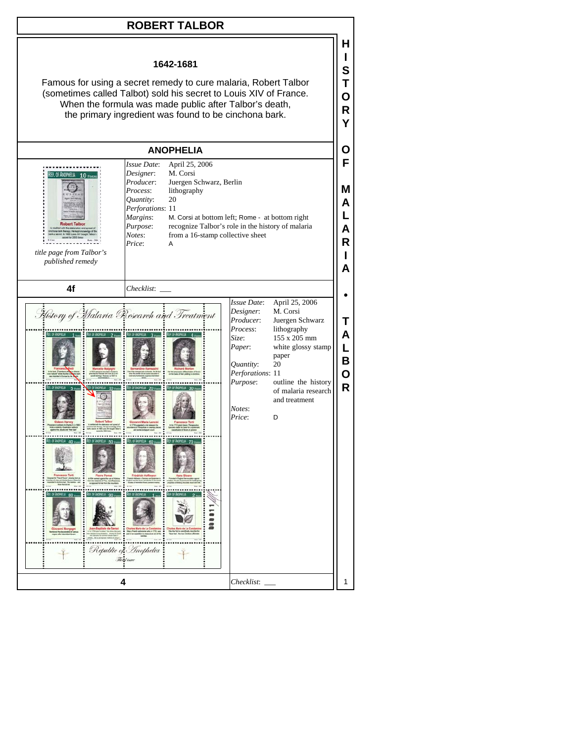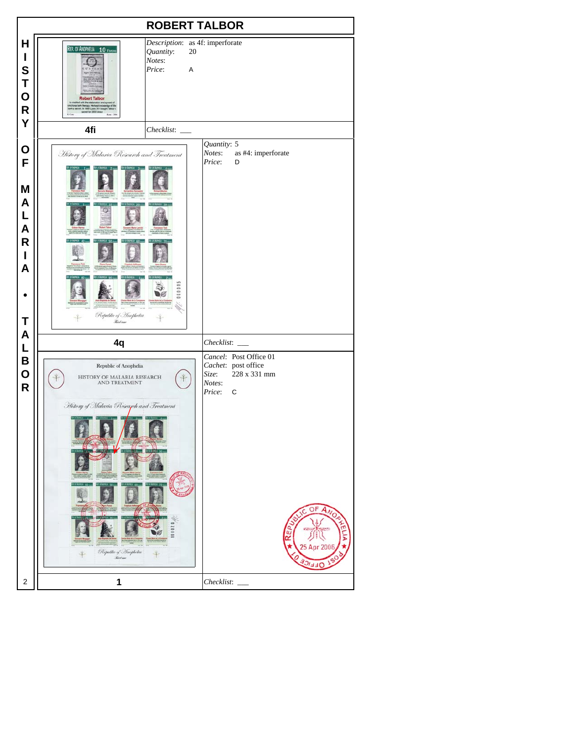| <b>ROBERT TALBOR</b>                           |                                                                                                                                                                                                                                                                   |                                                                                                                                          |
|------------------------------------------------|-------------------------------------------------------------------------------------------------------------------------------------------------------------------------------------------------------------------------------------------------------------------|------------------------------------------------------------------------------------------------------------------------------------------|
| Н<br>I<br>S<br>Τ<br>O<br>$\mathsf R$<br>Υ      | Description: as 4f: imperforate<br>REP. OF ANOPHELIA 10 FEVERS<br>Quantity:<br>20<br>Notes:<br>Price:<br>A<br><b>Robert Talbor</b><br>with the elaboration and a<br>a ban the<br>ark therapy. He kept knowledge<br>et. In 1680 Louis XIV bought Ta<br>for 2000 in |                                                                                                                                          |
|                                                | 4fi<br>$Checklist:$ $\_\_$                                                                                                                                                                                                                                        |                                                                                                                                          |
| O<br>F<br>M<br>A<br>L<br>A<br>R<br>ı<br>Α<br>Τ | History of Malaria Research and Treatment<br>000000<br>Republic of Anophelia<br><b>Red iver</b>                                                                                                                                                                   | Quantity: 5<br>Notes:<br>as #4: imperforate<br>Price:<br>D                                                                               |
| A                                              | 4q                                                                                                                                                                                                                                                                | Checklist:                                                                                                                               |
| L<br>B<br>O<br>$\mathsf{R}$                    | Republic of Anophelia<br>HISTORY OF MALARIA RESEARCH<br>AND TREATMENT<br>History of Malaria Research and Treatment<br>,,,,,,<br>Republic of Inopholia<br>Kert car                                                                                                 | Cancel: Post Office 01<br>Cachet: post office<br>228 x 331 mm<br>Size:<br>Notes:<br>Price:<br>$\mathbf C$<br>OF<br>Ċ<br>20<br><b>FFE</b> |
| 2                                              | 1                                                                                                                                                                                                                                                                 | Checklist:                                                                                                                               |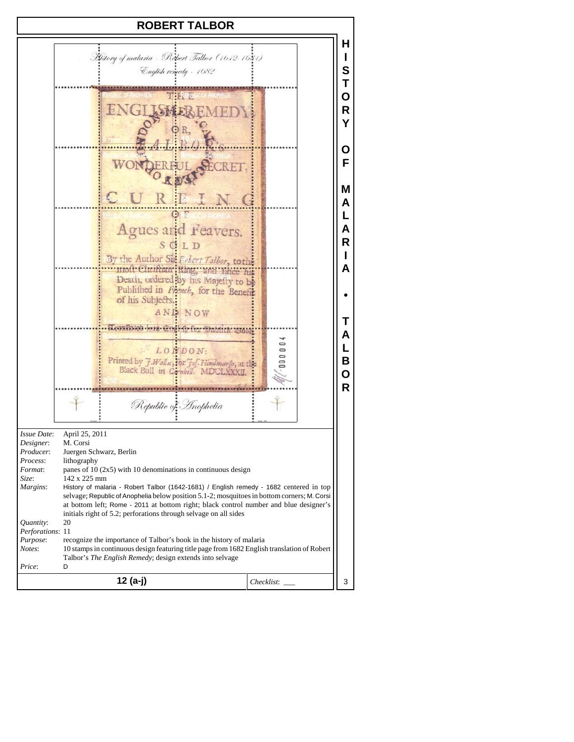